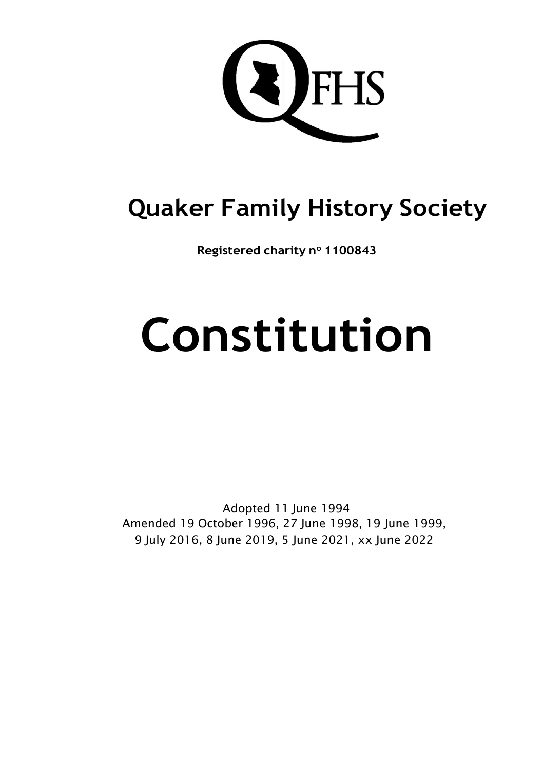**EXPENS** 

## Quaker Family History Society

Registered charity nº 1100843

# Constitution

Adopted 11 June 1994 Amended 19 October 1996, 27 June 1998, 19 June 1999, 9 July 2016, 8 June 2019, 5 June 2021, xx June 2022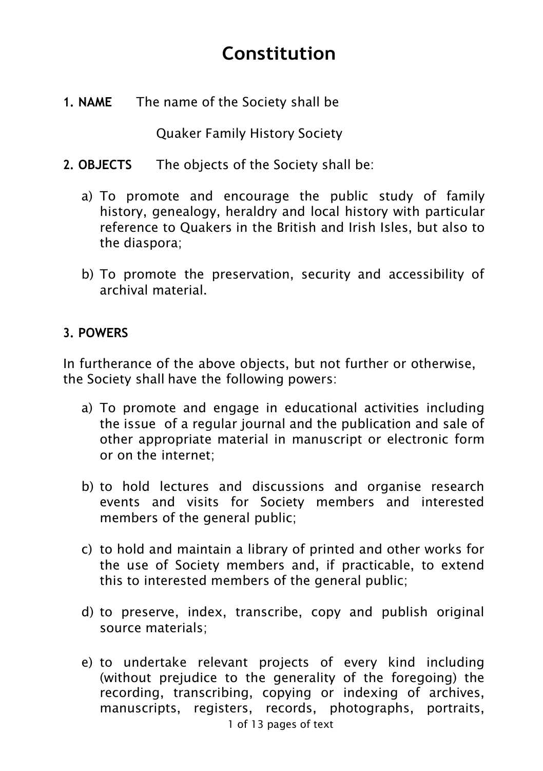### Constitution

1. NAME The name of the Society shall be

Quaker Family History Society

- 2. OBJECTS The objects of the Society shall be:
	- a) To promote and encourage the public study of family history, genealogy, heraldry and local history with particular reference to Quakers in the British and Irish Isles, but also to the diaspora;
	- b) To promote the preservation, security and accessibility of archival material.

#### 3. POWERS

In furtherance of the above objects, but not further or otherwise, the Society shall have the following powers:

- a) To promote and engage in educational activities including the issue of a regular journal and the publication and sale of other appropriate material in manuscript or electronic form or on the internet;
- b) to hold lectures and discussions and organise research events and visits for Society members and interested members of the general public;
- c) to hold and maintain a library of printed and other works for the use of Society members and, if practicable, to extend this to interested members of the general public;
- d) to preserve, index, transcribe, copy and publish original source materials;
- 1 of 13 pages of text e) to undertake relevant projects of every kind including (without prejudice to the generality of the foregoing) the recording, transcribing, copying or indexing of archives, manuscripts, registers, records, photographs, portraits,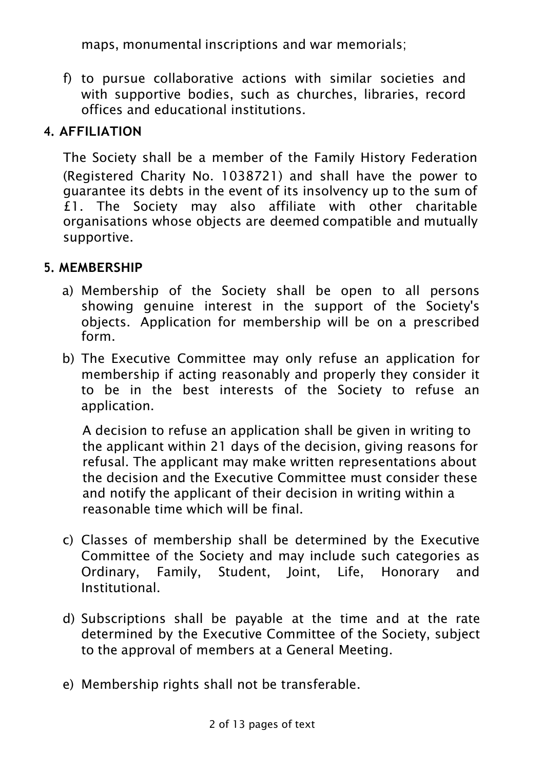maps, monumental inscriptions and war memorials;

f) to pursue collaborative actions with similar societies and with supportive bodies, such as churches, libraries, record offices and educational institutions.

#### 4. AFFILIATION

The Society shall be a member of the Family History Federation (Registered Charity No. 1038721) and shall have the power to guarantee its debts in the event of its insolvency up to the sum of £1. The Society may also affiliate with other charitable organisations whose objects are deemed compatible and mutually supportive.

#### 5. MEMBERSHIP

- a) Membership of the Society shall be open to all persons showing genuine interest in the support of the Society's objects. Application for membership will be on a prescribed form.
- b) The Executive Committee may only refuse an application for membership if acting reasonably and properly they consider it to be in the best interests of the Society to refuse an application.

A decision to refuse an application shall be given in writing to the applicant within 21 days of the decision, giving reasons for refusal. The applicant may make written representations about the decision and the Executive Committee must consider these and notify the applicant of their decision in writing within a reasonable time which will be final.

- c) Classes of membership shall be determined by the Executive Committee of the Society and may include such categories as Ordinary, Family, Student, Joint, Life, Honorary and Institutional.
- d) Subscriptions shall be payable at the time and at the rate determined by the Executive Committee of the Society, subject to the approval of members at a General Meeting.
- e) Membership rights shall not be transferable.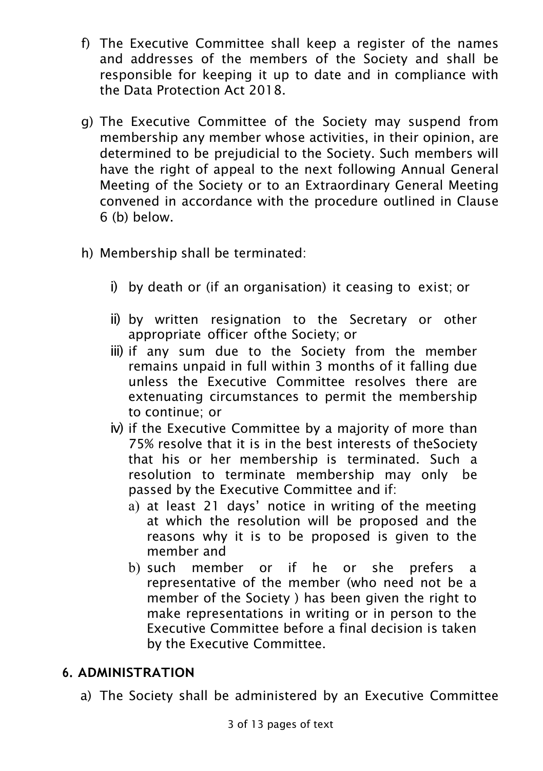- f) The Executive Committee shall keep a register of the names and addresses of the members of the Society and shall be responsible for keeping it up to date and in compliance with the Data Protection Act 2018.
- g) The Executive Committee of the Society may suspend from membership any member whose activities, in their opinion, are determined to be prejudicial to the Society. Such members will have the right of appeal to the next following Annual General Meeting of the Society or to an Extraordinary General Meeting convened in accordance with the procedure outlined in Clause 6 (b) below.
- h) Membership shall be terminated:
	- i) by death or (if an organisation) it ceasing to exist; or
	- ii) by written resignation to the Secretary or other appropriate officer of the Society; or
	- iii) if any sum due to the Society from the member remains unpaid in full within 3 months of it falling due unless the Executive Committee resolves there are extenuating circumstances to permit the membership to continue; or
	- iv) if the Executive Committee by a majority of more than 75% resolve that it is in the best interests of theSociety that his or her membership is terminated. Such a resolution to terminate membership may only be passed by the Executive Committee and if:
		- a) at least 21 days' notice in writing of the meeting at which the resolution will be proposed and the reasons why it is to be proposed is given to the member and
		- b) such member or if he or she prefers a representative of the member (who need not be a member of the Society ) has been given the right to make representations in writing or in person to the Executive Committee before a final decision is taken by the Executive Committee.

#### 6. ADMINISTRATION

a) The Society shall be administered by an Executive Committee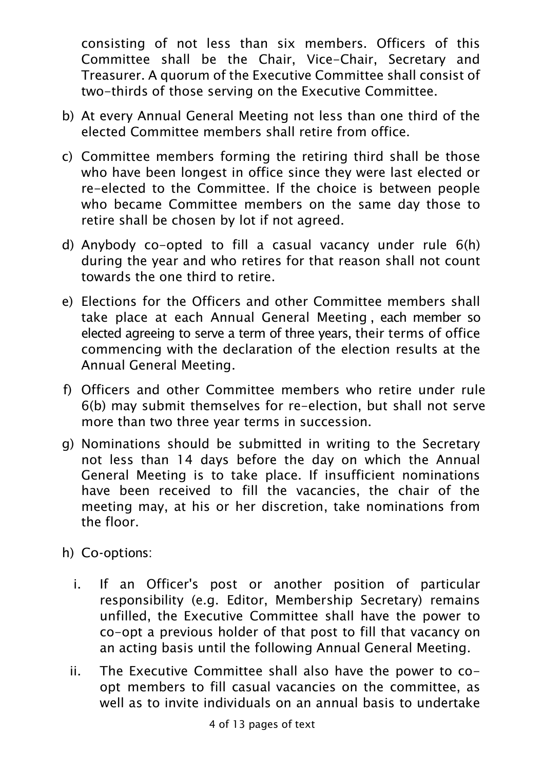consisting of not less than six members. Officers of this Committee shall be the Chair, Vice-Chair, Secretary and Treasurer. A quorum of the Executive Committee shall consist of two-thirds of those serving on the Executive Committee.

- b) At every Annual General Meeting not less than one third of the elected Committee members shall retire from office.
- c) Committee members forming the retiring third shall be those who have been longest in office since they were last elected or re-elected to the Committee. If the choice is between people who became Committee members on the same day those to retire shall be chosen by lot if not agreed.
- d) Anybody co-opted to fill a casual vacancy under rule 6(h) during the year and who retires for that reason shall not count towards the one third to retire.
- e) Elections for the Officers and other Committee members shall take place at each Annual General Meeting , each member so elected agreeing to serve a term of three years, their terms of office commencing with the declaration of the election results at the Annual General Meeting.
- f) Officers and other Committee members who retire under rule 6(b) may submit themselves for re-election, but shall not serve more than two three year terms in succession.
- g) Nominations should be submitted in writing to the Secretary not less than 14 days before the day on which the Annual General Meeting is to take place. If insufficient nominations have been received to fill the vacancies, the chair of the meeting may, at his or her discretion, take nominations from the floor.
- h) Co-options:
	- i. If an Officer's post or another position of particular responsibility (e.g. Editor, Membership Secretary) remains unfilled, the Executive Committee shall have the power to co-opt a previous holder of that post to fill that vacancy on an acting basis until the following Annual General Meeting.
	- ii. The Executive Committee shall also have the power to coopt members to fill casual vacancies on the committee, as well as to invite individuals on an annual basis to undertake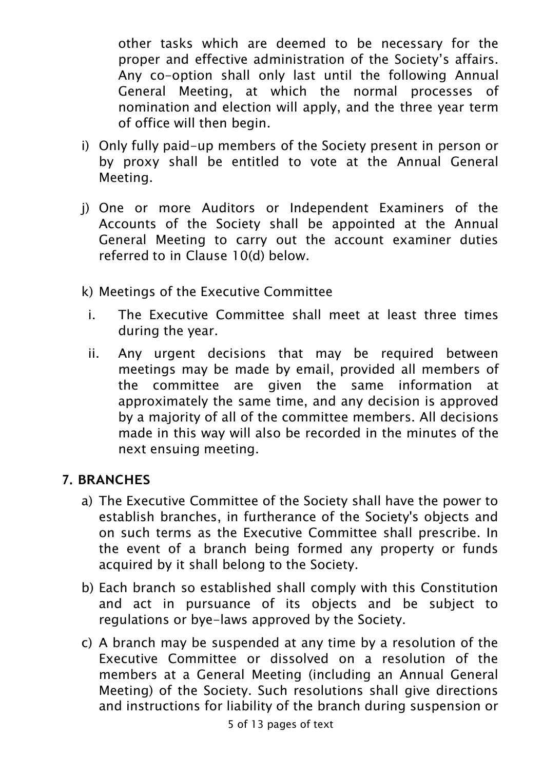other tasks which are deemed to be necessary for the proper and effective administration of the Society's affairs. Any co-option shall only last until the following Annual General Meeting, at which the normal processes of nomination and election will apply, and the three year term of office will then begin.

- i) Only fully paid-up members of the Society present in person or by proxy shall be entitled to vote at the Annual General Meeting.
- j) One or more Auditors or Independent Examiners of the Accounts of the Society shall be appointed at the Annual General Meeting to carry out the account examiner duties referred to in Clause 10(d) below.
- k) Meetings of the Executive Committee
- i. The Executive Committee shall meet at least three times during the year.
- ii. Any urgent decisions that may be required between meetings may be made by email, provided all members of the committee are given the same information at approximately the same time, and any decision is approved by a majority of all of the committee members. All decisions made in this way will also be recorded in the minutes of the next ensuing meeting.

#### 7. BRANCHES

- a) The Executive Committee of the Society shall have the power to establish branches, in furtherance of the Society's objects and on such terms as the Executive Committee shall prescribe. In the event of a branch being formed any property or funds acquired by it shall belong to the Society.
- b) Each branch so established shall comply with this Constitution and act in pursuance of its objects and be subject to regulations or bye-laws approved by the Society.
- c) A branch may be suspended at any time by a resolution of the Executive Committee or dissolved on a resolution of the members at a General Meeting (including an Annual General Meeting) of the Society. Such resolutions shall give directions and instructions for liability of the branch during suspension or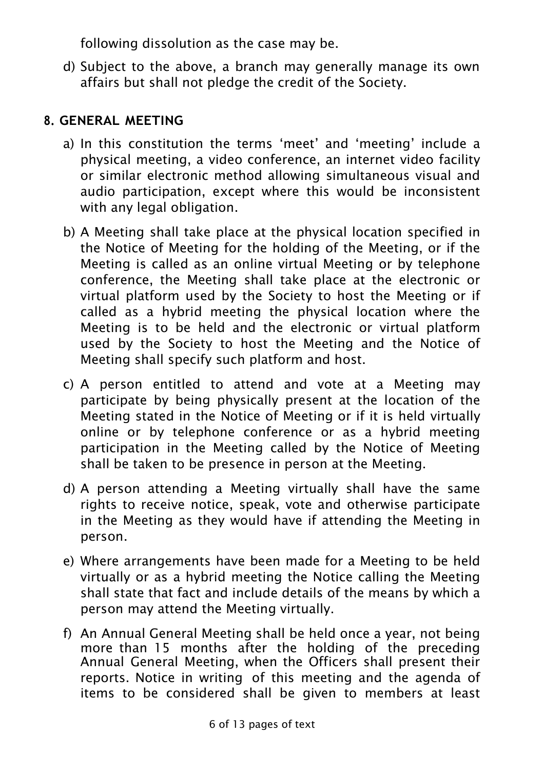following dissolution as the case may be.

d) Subject to the above, a branch may generally manage its own affairs but shall not pledge the credit of the Society.

#### 8. GENERAL MEETING

- a) In this constitution the terms 'meet' and 'meeting' include a physical meeting, a video conference, an internet video facility or similar electronic method allowing simultaneous visual and audio participation, except where this would be inconsistent with any legal obligation.
- b) A Meeting shall take place at the physical location specified in the Notice of Meeting for the holding of the Meeting, or if the Meeting is called as an online virtual Meeting or by telephone conference, the Meeting shall take place at the electronic or virtual platform used by the Society to host the Meeting or if called as a hybrid meeting the physical location where the Meeting is to be held and the electronic or virtual platform used by the Society to host the Meeting and the Notice of Meeting shall specify such platform and host.
- c) A person entitled to attend and vote at a Meeting may participate by being physically present at the location of the Meeting stated in the Notice of Meeting or if it is held virtually online or by telephone conference or as a hybrid meeting participation in the Meeting called by the Notice of Meeting shall be taken to be presence in person at the Meeting.
- d) A person attending a Meeting virtually shall have the same rights to receive notice, speak, vote and otherwise participate in the Meeting as they would have if attending the Meeting in person.
- e) Where arrangements have been made for a Meeting to be held virtually or as a hybrid meeting the Notice calling the Meeting shall state that fact and include details of the means by which a person may attend the Meeting virtually.
- f) An Annual General Meeting shall be held once a year, not being more than 15 months after the holding of the preceding Annual General Meeting, when the Officers shall present their reports. Notice in writing of this meeting and the agenda of items to be considered shall be given to members at least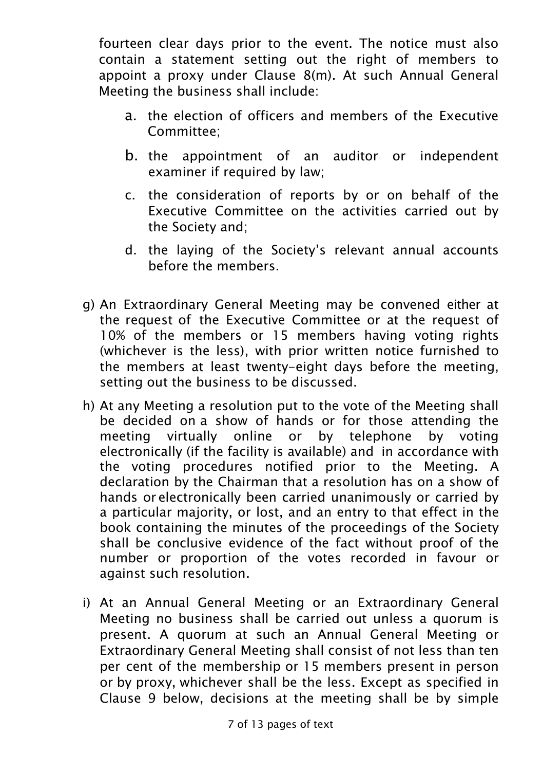fourteen clear days prior to the event. The notice must also contain a statement setting out the right of members to appoint a proxy under Clause 8(m). At such Annual General Meeting the business shall include:

- a. the election of officers and members of the Executive Committee;
- b. the appointment of an auditor or independent examiner if required by law;
- c. the consideration of reports by or on behalf of the Executive Committee on the activities carried out by the Society and;
- d. the laying of the Society's relevant annual accounts before the members.
- g) An Extraordinary General Meeting may be convened either at the request of the Executive Committee or at the request of 10% of the members or 15 members having voting rights (whichever is the less), with prior written notice furnished to the members at least twenty-eight days before the meeting, setting out the business to be discussed.
- h) At any Meeting a resolution put to the vote of the Meeting shall be decided on a show of hands or for those attending the meeting virtually online or by telephone by voting electronically (if the facility is available) and in accordance with the voting procedures notified prior to the Meeting. A declaration by the Chairman that a resolution has on a show of hands or electronically been carried unanimously or carried by a particular majority, or lost, and an entry to that effect in the book containing the minutes of the proceedings of the Society shall be conclusive evidence of the fact without proof of the number or proportion of the votes recorded in favour or against such resolution.
- i) At an Annual General Meeting or an Extraordinary General Meeting no business shall be carried out unless a quorum is present. A quorum at such an Annual General Meeting or Extraordinary General Meeting shall consist of not less than ten per cent of the membership or 15 members present in person or by proxy, whichever shall be the less. Except as specified in Clause 9 below, decisions at the meeting shall be by simple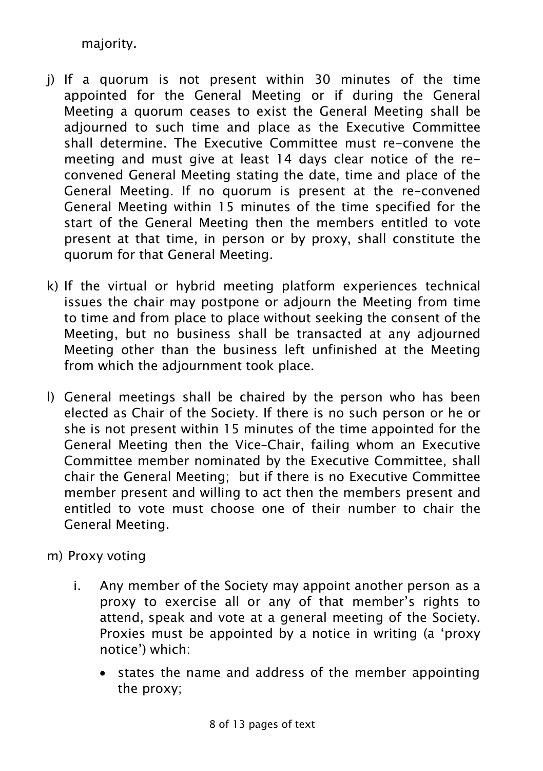majority.

- j) If a quorum is not present within 30 minutes of the time appointed for the General Meeting or if during the General Meeting a quorum ceases to exist the General Meeting shall be adjourned to such time and place as the Executive Committee shall determine. The Executive Committee must re-convene the meeting and must give at least 14 days clear notice of the reconvened General Meeting stating the date, time and place of the General Meeting. If no quorum is present at the re-convened General Meeting within 15 minutes of the time specified for the start of the General Meeting then the members entitled to vote present at that time, in person or by proxy, shall constitute the quorum for that General Meeting.
- k) If the virtual or hybrid meeting platform experiences technical issues the chair may postpone or adjourn the Meeting from time to time and from place to place without seeking the consent of the Meeting, but no business shall be transacted at any adjourned Meeting other than the business left unfinished at the Meeting from which the adjournment took place.
- l) General meetings shall be chaired by the person who has been elected as Chair of the Society. If there is no such person or he or she is not present within 15 minutes of the time appointed for the General Meeting then the Vice–Chair, failing whom an Executive Committee member nominated by the Executive Committee, shall chair the General Meeting; but if there is no Executive Committee member present and willing to act then the members present and entitled to vote must choose one of their number to chair the General Meeting.
- m) Proxy voting
	- i. Any member of the Society may appoint another person as a proxy to exercise all or any of that member's rights to attend, speak and vote at a general meeting of the Society. Proxies must be appointed by a notice in writing (a 'proxy notice') which:
		- states the name and address of the member appointing the proxy;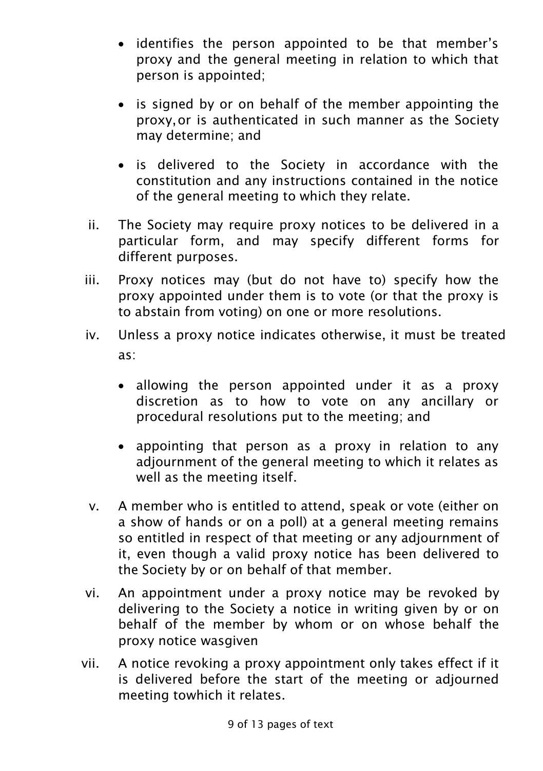- identifies the person appointed to be that member's proxy and the general meeting in relation to which that person is appointed;
- is signed by or on behalf of the member appointing the proxy, or is authenticated in such manner as the Society may determine; and
- is delivered to the Society in accordance with the constitution and any instructions contained in the notice of the general meeting to which they relate.
- ii. The Society may require proxy notices to be delivered in a particular form, and may specify different forms for different purposes.
- iii. Proxy notices may (but do not have to) specify how the proxy appointed under them is to vote (or that the proxy is to abstain from voting) on one or more resolutions.
- iv. Unless a proxy notice indicates otherwise, it must be treated as:
	- allowing the person appointed under it as a proxy discretion as to how to vote on any ancillary or procedural resolutions put to the meeting; and
	- appointing that person as a proxy in relation to any adjournment of the general meeting to which it relates as well as the meeting itself.
- v. A member who is entitled to attend, speak or vote (either on a show of hands or on a poll) at a general meeting remains so entitled in respect of that meeting or any adjournment of it, even though a valid proxy notice has been delivered to the Society by or on behalf of that member.
- vi. An appointment under a proxy notice may be revoked by delivering to the Society a notice in writing given by or on behalf of the member by whom or on whose behalf the proxy notice was given
- vii. A notice revoking a proxy appointment only takes effect if it is delivered before the start of the meeting or adjourned meeting towhich it relates.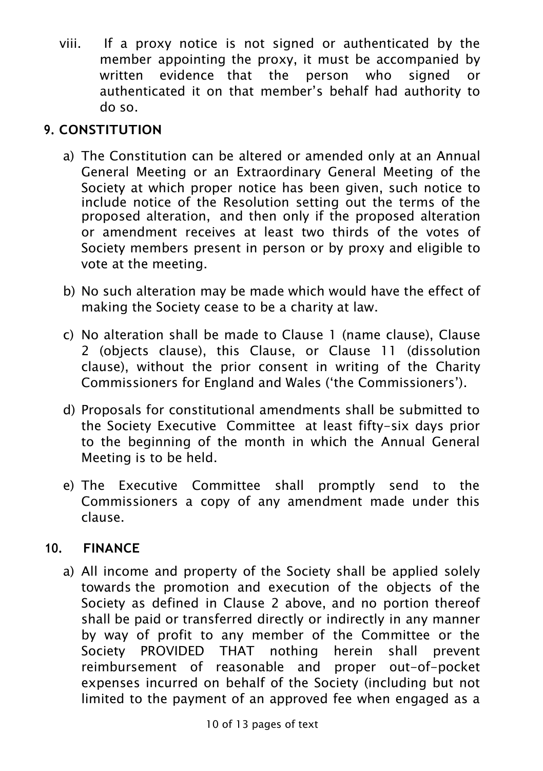viii. If a proxy notice is not signed or authenticated by the member appointing the proxy, it must be accompanied by<br>written evidence that the person who signed or written evidence that the person who signed or authenticated it on that member's behalf had authority to do so.

#### 9. CONSTITUTION

- a) The Constitution can be altered or amended only at an Annual General Meeting or an Extraordinary General Meeting of the Society at which proper notice has been given, such notice to include notice of the Resolution setting out the terms of the proposed alteration, and then only if the proposed alteration or amendment receives at least two thirds of the votes of Society members present in person or by proxy and eligible to vote at the meeting.
- b) No such alteration may be made which would have the effect of making the Society cease to be a charity at law.
- c) No alteration shall be made to Clause 1 (name clause), Clause 2 (objects clause), this Clause, or Clause 11 (dissolution clause), without the prior consent in writing of the Charity Commissioners for England and Wales ('the Commissioners').
- d) Proposals for constitutional amendments shall be submitted to the Society Executive Committee at least fifty-six days prior to the beginning of the month in which the Annual General Meeting is to be held.
- e) The Executive Committee shall promptly send to the Commissioners a copy of any amendment made under this clause.

#### 10. FINANCE

a) All income and property of the Society shall be applied solely towards the promotion and execution of the objects of the Society as defined in Clause 2 above, and no portion thereof shall be paid or transferred directly or indirectly in any manner by way of profit to any member of the Committee or the Society PROVIDED THAT nothing herein shall prevent reimbursement of reasonable and proper out-of-pocket expenses incurred on behalf of the Society (including but not limited to the payment of an approved fee when engaged as a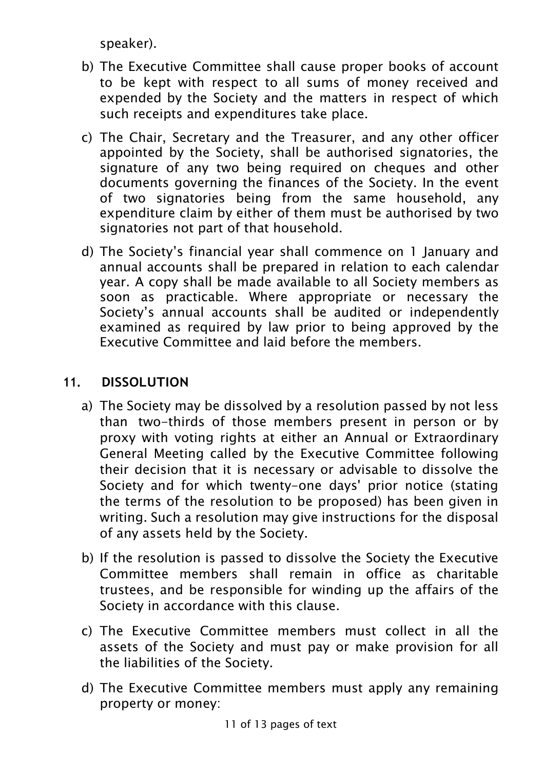speaker).

- b) The Executive Committee shall cause proper books of account to be kept with respect to all sums of money received and expended by the Society and the matters in respect of which such receipts and expenditures take place.
- c) The Chair, Secretary and the Treasurer, and any other officer appointed by the Society, shall be authorised signatories, the signature of any two being required on cheques and other documents governing the finances of the Society. In the event of two signatories being from the same household, any expenditure claim by either of them must be authorised by two signatories not part of that household.
- d) The Society's financial year shall commence on 1 January and annual accounts shall be prepared in relation to each calendar year. A copy shall be made available to all Society members as soon as practicable. Where appropriate or necessary the Society's annual accounts shall be audited or independently examined as required by law prior to being approved by the Executive Committee and laid before the members.

#### 11. DISSOLUTION

- a) The Society may be dissolved by a resolution passed by not less than two-thirds of those members present in person or by proxy with voting rights at either an Annual or Extraordinary General Meeting called by the Executive Committee following their decision that it is necessary or advisable to dissolve the Society and for which twenty-one days' prior notice (stating the terms of the resolution to be proposed) has been given in writing. Such a resolution may give instructions for the disposal of any assets held by the Society.
- b) If the resolution is passed to dissolve the Society the Executive Committee members shall remain in office as charitable trustees, and be responsible for winding up the affairs of the Society in accordance with this clause.
- c) The Executive Committee members must collect in all the assets of the Society and must pay or make provision for all the liabilities of the Society.
- d) The Executive Committee members must apply any remaining property or money: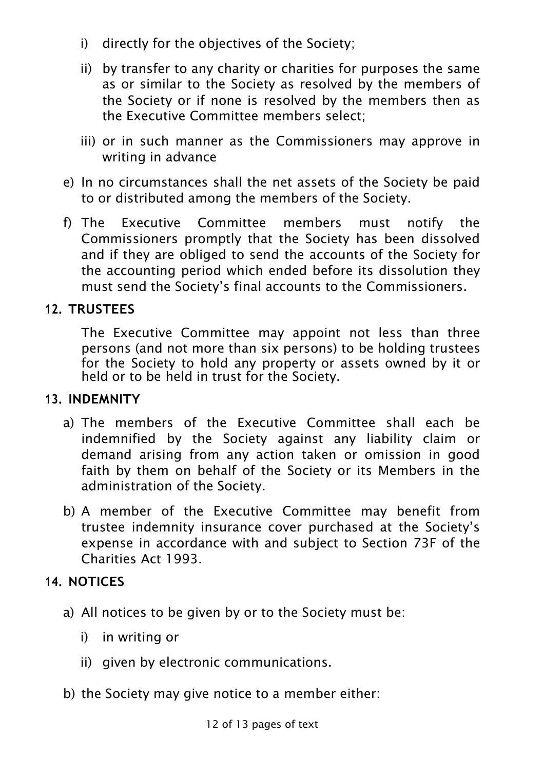- i) directly for the objectives of the Society;
- ii) by transfer to any charity or charities for purposes the same as or similar to the Society as resolved by the members of the Society or if none is resolved by the members then as the Executive Committee members select;
- iii) or in such manner as the Commissioners may approve in writing in advance
- e) In no circumstances shall the net assets of the Society be paid to or distributed among the members of the Society.
- f) The Executive Committee members must notify the Commissioners promptly that the Society has been dissolved and if they are obliged to send the accounts of the Society for the accounting period which ended before its dissolution they must send the Society's final accounts to the Commissioners.

#### 12. TRUSTEES

The Executive Committee may appoint not less than three persons (and not more than six persons) to be holding trustees for the Society to hold any property or assets owned by it or held or to be held in trust for the Society.

#### 13. INDEMNITY

- a) The members of the Executive Committee shall each be indemnified by the Society against any liability claim or demand arising from any action taken or omission in good faith by them on behalf of the Society or its Members in the administration of the Society.
- b) A member of the Executive Committee may benefit from trustee indemnity insurance cover purchased at the Society's expense in accordance with and subject to Section 73F of the Charities Act 1993.

#### 14. NOTICES

- a) All notices to be given by or to the Society must be:
	- i) in writing or
	- ii) given by electronic communications.
- b) the Society may give notice to a member either: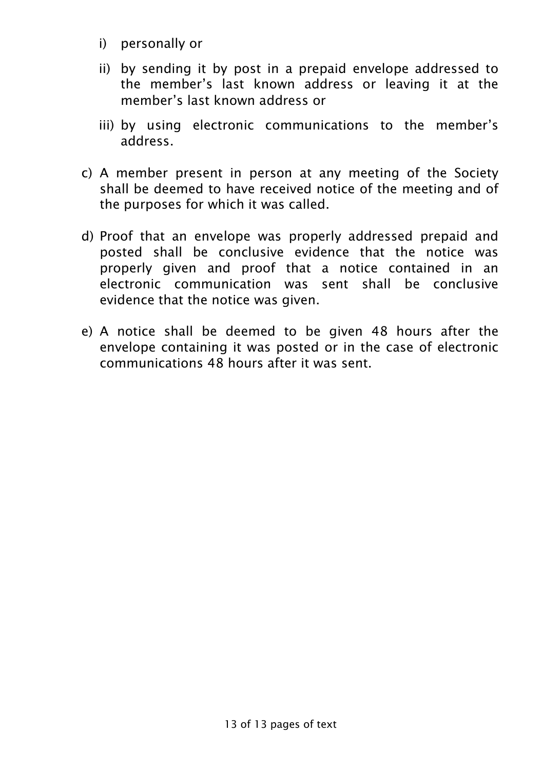- i) personally or
- ii) by sending it by post in a prepaid envelope addressed to the member's last known address or leaving it at the member's last known address or
- iii) by using electronic communications to the member's address.
- c) A member present in person at any meeting of the Society shall be deemed to have received notice of the meeting and of the purposes for which it was called.
- d) Proof that an envelope was properly addressed prepaid and posted shall be conclusive evidence that the notice was properly given and proof that a notice contained in an electronic communication was sent shall be conclusive evidence that the notice was given.
- e) A notice shall be deemed to be given 48 hours after the envelope containing it was posted or in the case of electronic communications 48 hours after it was sent.